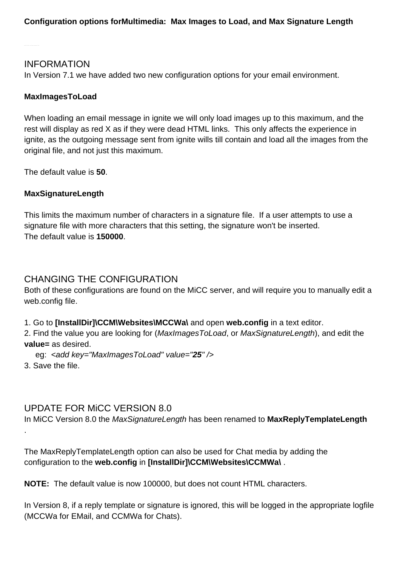### INFORMATION

In Version 7.1 we have added two new configuration options for your email environment.

#### **MaxImagesToLoad**

When loading an email message in ignite we will only load images up to this maximum, and the rest will display as red X as if they were dead HTML links. This only affects the experience in ignite, as the outgoing message sent from ignite wills till contain and load all the images from the original file, and not just this maximum.

The default value is **50**.

#### **MaxSignatureLength**

This limits the maximum number of characters in a signature file. If a user attempts to use a signature file with more characters that this setting, the signature won't be inserted. The default value is **150000**.

# CHANGING THE CONFIGURATION

Both of these configurations are found on the MiCC server, and will require you to manually edit a web.config file.

1. Go to **[InstallDir]\CCM\Websites\MCCWa\** and open **web.config** in a text editor.

2. Find the value you are looking for (MaxImages ToLoad, or MaxSignatureLength), and edit the **value=** as desired.

eg: <add key="MaxImagesToLoad" value="**25**" />

3. Save the file.

### UPDATE FOR MiCC VERSION 8.0

In MiCC Version 8.0 the MaxSignatureLength has been renamed to **MaxReplyTemplateLength** .

The MaxReplyTemplateLength option can also be used for Chat media by adding the configuration to the **web.config** in **[InstallDir]\CCM\Websites\CCMWa\** .

**NOTE:** The default value is now 100000, but does not count HTML characters.

In Version 8, if a reply template or signature is ignored, this will be logged in the appropriate logfile (MCCWa for EMail, and CCMWa for Chats).